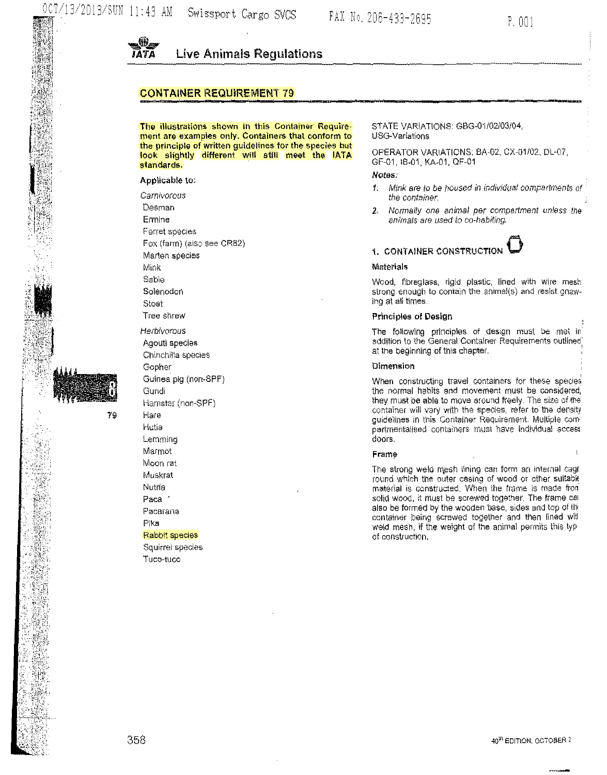

# CONTAINER REQUIREMENT 79

The illustrations shown in this Gontainor Requirement are examples only, Containers that conform to the principle of written guidelines for the species but look slightly different will still meet the lATA standards.

#### Applicable to:

Carnivorous Desman Ermine Ferret species Fox (farm) (also see CR82) Marten species Mink Sable Solenodon Stoat Tree shrew Herbivorous Agouti species Chinchilla species Gopher Guinea pig (nor>-SPF) Gundi Hamster (non-SPF) Hare Hutia **Lemming** Marmot Moon rat Muskrat Nutria Paca · Pacarana Pika Rabbit species Squirrel species Tuco-tuco

79

STATE VARIATIONS: GBG-01/02/03/04, USG-Variations

OPERATOR VARIATIONS: BA-02, CX-01/02, PL-07, GF-01, IB-01, KA-01, OF-01

# Notes;

- 1. Mink are to be noused in individual compartments of the container.
- 2. Normally one animal per compartment unless the animals are used to co-habiting.

# 1. CONTAINER CONSTRUCTION

#### Materials

Wood, fibreglass, rigid plastic, lined with wire mesh strong enough to contain the animal(s) and resist gnawing at all times.

#### Principles of Design

The following principles of design must be met in' addition to the General Container Requirements outlined: at the beginning of this chapter.

#### Dimension

When constructing travel containers for these species the normal habits and movement must be considered, they must be able to move around freely. The size of the container will vary with the species, refer to the density guidelines in this Container Requirement. Multiple compartmentalised containers must have individual access doors.

#### **Frame**

The strong weld mesh lining can form an internal cage round which the outer casing of wood or other suitable material is constructed. When the frame is made from solid wood, it must be screwed together. The frame cal also be formed by the wooden base, sides and top of thi container being screwed together and then lined will weld mesh, if the weight of the animal permits this typof construction.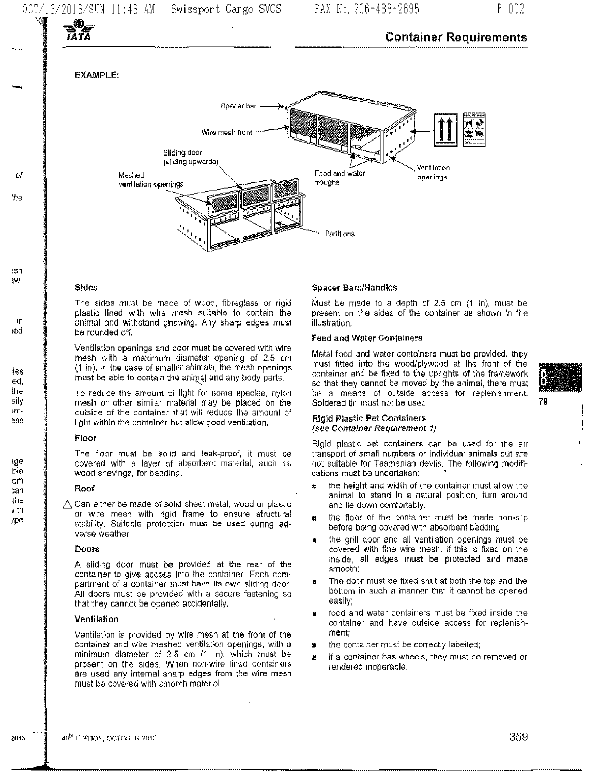# Container Requirements

EXAMPLE:

*lATA* 

-

*Of* 

'he

i5h IW-

in ted

ies e<l, I he sity m1~



------------------------~-

# Sides

The sides must be made of wood, fibreglass or rigid plastic lined with wire mesh suitable to contain the animal and withstand gnawing. Any sharp edges must be rounded off.

Ventilation openings and door must be covered with wire mesh with a maximum diameter opening of 2.5 em (1 in). In the case of smaller animals, the mesh openings must be able to contain the animal and any body parts.

To reduce the amount of light for some species, nylon mesh or other similar material may be placed on the outside of the container that will reduce the amount of light within the container but allow good ventilation.

#### Floor

The floor must be solid and leak-proof, it must be covered with a layer of absorbent material, such as wood shavings, for bedding.

# Roof

 $\triangle$  Can either be made of solid sheet metal, wood or plastic or wire mesh with rigid frame to ensure structural stability. Suitable protection must be used during adverse weather.

#### **Doors**

A sliding door must be provided at the rear of the container to give access into the container. Each compartment of a container must have its own sliding door. All doors must be provided with a secure fastening so that they cannot *be* opened accidentally.

# Ventilation

Ventilation is provided by wire mesh at the front of the containet ahd wire meshed ventilation openings, with a minimum diameter of 2.5 em (1 in), which must be present on the sides. When non-wire lined containers are used any internal sharp edges from the wire mesh must be covered with smooth material.

# Spacer Bars/Handles

Must be made to a depth of 2.5 cm  $(1 \text{ in})$ , must be present on the sides of the container as shown in the illustration.

#### Feed and Water Containers

Metal food and Water containers must be provided, they must fitted into the wood/plywood at the front of the container and be fixed to the uprights of the framework so that they cannot be moved by the animal, there must be a means of outside access for replenishment. Soldered tin must not be used. **79** The soldered tin must not be used.

#### Rigid Plastic Pet Containers (see Container Requirement 1)

Rigid plastic pet containers can ba used for the air transport of small numbers or individual animals but are not suitable for Tasmanian devils. The following modifications must be undertaken;

- & the heigllt and width of the container must allow the animal to stand in a natural position, turn around and lie down comfortably;
- the floor of the container must be made non-slip before being covered with absorbent bedding;
- the grill door and all ventilation openings must be covered with fine wire mesh, lf this is fixed on the inside, all edges must be protected and made smooth;
- The door must be fixed shut at both the top and the bottom in such a manner that it cannot be opened easily;
- **a** food and water containers must be fixed inside the container and have outside access for replenishment;
- the container must *be* correctly labelled;
- **a** if a container has wheels, they must be removed or rendered inoperable.

vith rpe

2013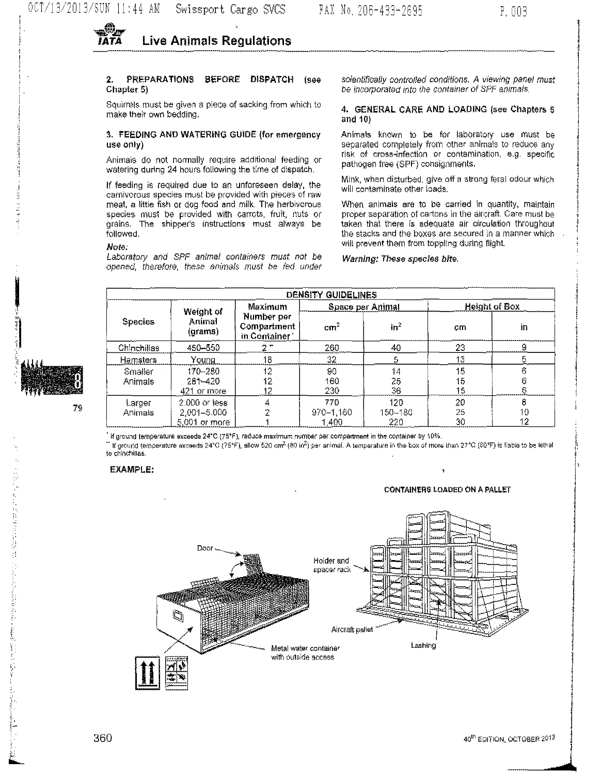

#### PREPARATIONS BEFORE DISPATCH (see  $2<sub>1</sub>$ Chapter 5)

Squirrels must be given a piece of sacking from which to make their own bedding.

# 3. FEEDING AND WATERING GUIDE (for emergency use only)

Animals do not normally require additional feeding or watering during 24 hours following the time of dispatch.

If feeding is required due to an unforeseen delay, the carnivorous species must be provided with pieces of raw meat, a little fish or dog food and milk. The herbivorous species must be provided with carrots, fruit, nuts or grains. The shipper's instructions must always be followed.

# Note:

Laboratory and SPF animal containers must not be opened, therefore, these animals must be fed under

scientifically controlled conditions. A viewing panel must be incorporated into the container of SPF animals,

## 4. GENERAL CARE AND LOADING (see Chapters 5 and  $10$

Animals known to be for laboratory use must be separated completely from other animals to reduce any risk of cross-infection or contamination, e.g. specific pathogen free (SPF) consignments.

Mink, when disturbed, give off a strong feral odour which will contaminate other loads.

When animals are to be carried in quantity, maintain proper separation of cartons in the aircraft. Care must be taken that there is adequate air circulation throughout the stacks and the boxes are secured in a manner which will prevent them from toppling during flight.

#### Warning: These species bite.

|                    | DENSITY GUIDELINES                              |                                                     |                           |                           |                      |               |  |  |  |  |  |  |  |
|--------------------|-------------------------------------------------|-----------------------------------------------------|---------------------------|---------------------------|----------------------|---------------|--|--|--|--|--|--|--|
| Species            | Weight of<br>Animal<br>(grams)                  | Maximum<br>Number per<br>Compartment<br>in Comainer |                           | Space per Animal          | <b>Height of Box</b> |               |  |  |  |  |  |  |  |
|                    |                                                 |                                                     | cm <sup>2</sup>           | $\ln^2$                   | cm                   | ìn            |  |  |  |  |  |  |  |
| Chinchillas        | 450-550                                         | 27                                                  | 260                       | 40                        | 23                   |               |  |  |  |  |  |  |  |
| <u>Hamsters</u>    | Young                                           | 18                                                  | 32                        |                           | 13                   |               |  |  |  |  |  |  |  |
| Smaller<br>Animals | 170-280<br>$281 - 420$<br>421 or more           | 12<br>12<br>12                                      | 90<br>160<br>230          | 14<br>25<br>36            | 15<br>15<br>15       | в             |  |  |  |  |  |  |  |
| Larger<br>Animals  | 2.000 or less<br>2,001-5.000<br>$5.001$ or more |                                                     | 770<br>970-1,160<br>1.400 | 120<br>$150 - 180$<br>220 | 20<br>25<br>30       | 8<br>10<br>12 |  |  |  |  |  |  |  |

If ground temperature exceeds 24°C (75°F), reduce maximum number per compartment in the container by 10%.

 $\degree$  if ground temperature exceeds 24°C (75°F), allow 520 cm<sup>2</sup> (80 in<sup>2</sup>) per animal. A temperature in the box of more than 27°C (80°F) is liable to be lethal to chinchillas.

# **EXAMPLE:**

#### **CONTAINERS LOADED ON A PALLET**

Þ